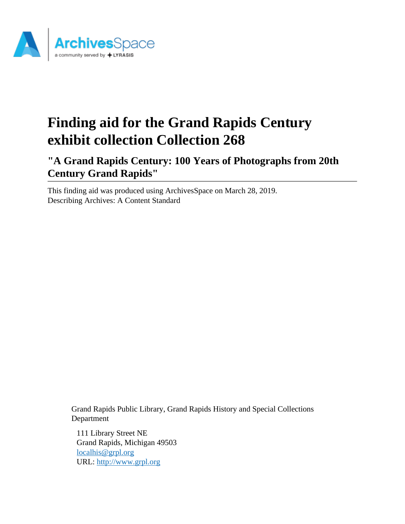

# **Finding aid for the Grand Rapids Century exhibit collection Collection 268**

**"A Grand Rapids Century: 100 Years of Photographs from 20th Century Grand Rapids"**

This finding aid was produced using ArchivesSpace on March 28, 2019. Describing Archives: A Content Standard

> Grand Rapids Public Library, Grand Rapids History and Special Collections Department

111 Library Street NE Grand Rapids, Michigan 49503 [localhis@grpl.org](mailto:localhis@grpl.org) URL:<http://www.grpl.org>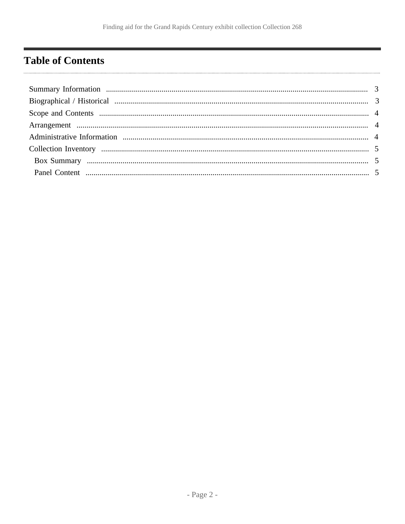# <span id="page-1-0"></span>**Table of Contents**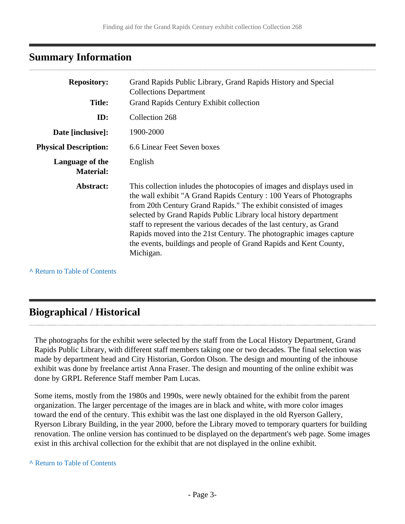# <span id="page-2-0"></span>**Summary Information**

| <b>Repository:</b>                  | Grand Rapids Public Library, Grand Rapids History and Special<br><b>Collections Department</b>                                                                                                                                                                                                                                                                                                                                                                                                                         |  |
|-------------------------------------|------------------------------------------------------------------------------------------------------------------------------------------------------------------------------------------------------------------------------------------------------------------------------------------------------------------------------------------------------------------------------------------------------------------------------------------------------------------------------------------------------------------------|--|
| <b>Title:</b>                       | Grand Rapids Century Exhibit collection                                                                                                                                                                                                                                                                                                                                                                                                                                                                                |  |
| ID:                                 | Collection 268                                                                                                                                                                                                                                                                                                                                                                                                                                                                                                         |  |
| Date [inclusive]:                   | 1900-2000                                                                                                                                                                                                                                                                                                                                                                                                                                                                                                              |  |
| <b>Physical Description:</b>        | 6.6 Linear Feet Seven boxes                                                                                                                                                                                                                                                                                                                                                                                                                                                                                            |  |
| Language of the<br><b>Material:</b> | English                                                                                                                                                                                                                                                                                                                                                                                                                                                                                                                |  |
| Abstract:                           | This collection inludes the photocopies of images and displays used in<br>the wall exhibit "A Grand Rapids Century : 100 Years of Photographs<br>from 20th Century Grand Rapids." The exhibit consisted of images<br>selected by Grand Rapids Public Library local history department<br>staff to represent the various decades of the last century, as Grand<br>Rapids moved into the 21st Century. The photographic images capture<br>the events, buildings and people of Grand Rapids and Kent County,<br>Michigan. |  |

**^** [Return to Table of Contents](#page-1-0)

# <span id="page-2-1"></span>**Biographical / Historical**

The photographs for the exhibit were selected by the staff from the Local History Department, Grand Rapids Public Library, with different staff members taking one or two decades. The final selection was made by department head and City Historian, Gordon Olson. The design and mounting of the inhouse exhibit was done by freelance artist Anna Fraser. The design and mounting of the online exhibit was done by GRPL Reference Staff member Pam Lucas.

Some items, mostly from the 1980s and 1990s, were newly obtained for the exhibit from the parent organization. The larger percentage of the images are in black and white, with more color images toward the end of the century. This exhibit was the last one displayed in the old Ryerson Gallery, Ryerson Library Building, in the year 2000, before the Library moved to temporary quarters for building renovation. The online version has continued to be displayed on the department's web page. Some images exist in this archival collection for the exhibit that are not displayed in the online exhibit.

#### **^** [Return to Table of Contents](#page-1-0)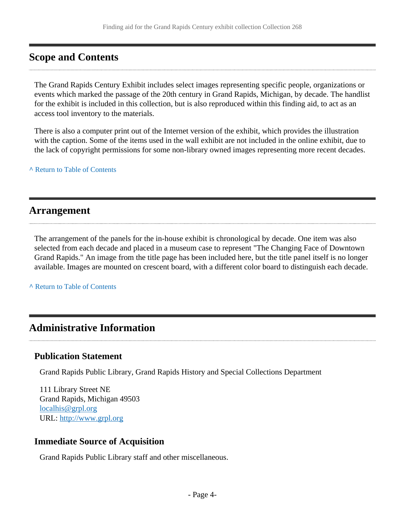# <span id="page-3-0"></span>**Scope and Contents**

The Grand Rapids Century Exhibit includes select images representing specific people, organizations or events which marked the passage of the 20th century in Grand Rapids, Michigan, by decade. The handlist for the exhibit is included in this collection, but is also reproduced within this finding aid, to act as an access tool inventory to the materials.

There is also a computer print out of the Internet version of the exhibit, which provides the illustration with the caption. Some of the items used in the wall exhibit are not included in the online exhibit, due to the lack of copyright permissions for some non-library owned images representing more recent decades.

**^** [Return to Table of Contents](#page-1-0)

## <span id="page-3-1"></span>**Arrangement**

The arrangement of the panels for the in-house exhibit is chronological by decade. One item was also selected from each decade and placed in a museum case to represent "The Changing Face of Downtown Grand Rapids." An image from the title page has been included here, but the title panel itself is no longer available. Images are mounted on crescent board, with a different color board to distinguish each decade.

**^** [Return to Table of Contents](#page-1-0)

# <span id="page-3-2"></span>**Administrative Information**

## **Publication Statement**

Grand Rapids Public Library, Grand Rapids History and Special Collections Department

111 Library Street NE Grand Rapids, Michigan 49503 [localhis@grpl.org](mailto:localhis@grpl.org) URL:<http://www.grpl.org>

## **Immediate Source of Acquisition**

Grand Rapids Public Library staff and other miscellaneous.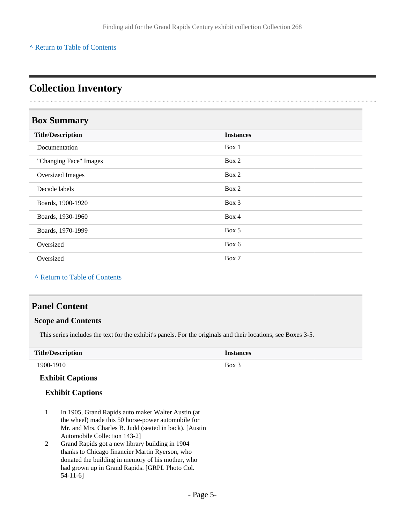#### **^** [Return to Table of Contents](#page-1-0)

# <span id="page-4-0"></span>**Collection Inventory**

## <span id="page-4-1"></span>**Box Summary**

| <b>Title/Description</b> | <b>Instances</b> |
|--------------------------|------------------|
| Documentation            | Box 1            |
| "Changing Face" Images   | Box 2            |
| <b>Oversized Images</b>  | Box 2            |
| Decade labels            | Box 2            |
| Boards, 1900-1920        | Box 3            |
| Boards, 1930-1960        | Box 4            |
| Boards, 1970-1999        | Box 5            |
| Oversized                | Box 6            |
| Oversized                | Box 7            |

#### **^** [Return to Table of Contents](#page-1-0)

## <span id="page-4-2"></span>**Panel Content**

#### **Scope and Contents**

This series includes the text for the exhibit's panels. For the originals and their locations, see Boxes 3-5.

| <b>Title/Description</b> | <b>Instances</b> |
|--------------------------|------------------|
| 1900-1910                | $Box$ 3          |

### **Exhibit Captions**

- 1 In 1905, Grand Rapids auto maker Walter Austin (at the wheel) made this 50 horse-power automobile for Mr. and Mrs. Charles B. Judd (seated in back). [Austin Automobile Collection 143-2]
- 2 Grand Rapids got a new library building in 1904 thanks to Chicago financier Martin Ryerson, who donated the building in memory of his mother, who had grown up in Grand Rapids. [GRPL Photo Col. 54-11-6]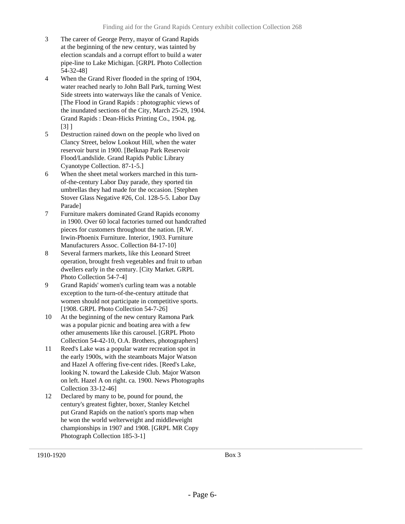- 3 The career of George Perry, mayor of Grand Rapids at the beginning of the new century, was tainted by election scandals and a corrupt effort to build a water pipe-line to Lake Michigan. [GRPL Photo Collection 54-32-48]
- 4 When the Grand River flooded in the spring of 1904, water reached nearly to John Ball Park, turning West Side streets into waterways like the canals of Venice. [The Flood in Grand Rapids : photographic views of the inundated sections of the City, March 25-29, 1904. Grand Rapids : Dean-Hicks Printing Co., 1904. pg. [3] ]
- 5 Destruction rained down on the people who lived on Clancy Street, below Lookout Hill, when the water reservoir burst in 1900. [Belknap Park Reservoir Flood/Landslide. Grand Rapids Public Library Cyanotype Collection. 87-1-5.]
- 6 When the sheet metal workers marched in this turnof-the-century Labor Day parade, they sported tin umbrellas they had made for the occasion. [Stephen Stover Glass Negative #26, Col. 128-5-5. Labor Day Parade]
- 7 Furniture makers dominated Grand Rapids economy in 1900. Over 60 local factories turned out handcrafted pieces for customers throughout the nation. [R.W. Irwin-Phoenix Furniture. Interior, 1903. Furniture Manufacturers Assoc. Collection 84-17-10]
- 8 Several farmers markets, like this Leonard Street operation, brought fresh vegetables and fruit to urban dwellers early in the century. [City Market. GRPL Photo Collection 54-7-4]
- 9 Grand Rapids' women's curling team was a notable exception to the turn-of-the-century attitude that women should not participate in competitive sports. [1908. GRPL Photo Collection 54-7-26]
- 10 At the beginning of the new century Ramona Park was a popular picnic and boating area with a few other amusements like this carousel. [GRPL Photo Collection 54-42-10, O.A. Brothers, photographers]
- 11 Reed's Lake was a popular water recreation spot in the early 1900s, with the steamboats Major Watson and Hazel A offering five-cent rides. [Reed's Lake, looking N. toward the Lakeside Club. Major Watson on left. Hazel A on right. ca. 1900. News Photographs Collection 33-12-46]
- 12 Declared by many to be, pound for pound, the century's greatest fighter, boxer, Stanley Ketchel put Grand Rapids on the nation's sports map when he won the world welterweight and middleweight championships in 1907 and 1908. [GRPL MR Copy Photograph Collection 185-3-1]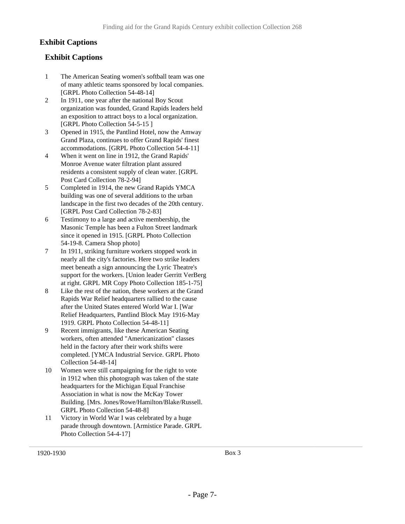## **Exhibit Captions**

- 1 The American Seating women's softball team was one of many athletic teams sponsored by local companies. [GRPL Photo Collection 54-48-14]
- 2 In 1911, one year after the national Boy Scout organization was founded, Grand Rapids leaders held an exposition to attract boys to a local organization. [GRPL Photo Collection 54-5-15]
- 3 Opened in 1915, the Pantlind Hotel, now the Amway Grand Plaza, continues to offer Grand Rapids' finest accommodations. [GRPL Photo Collection 54-4-11]
- 4 When it went on line in 1912, the Grand Rapids' Monroe Avenue water filtration plant assured residents a consistent supply of clean water. [GRPL Post Card Collection 78-2-94]
- 5 Completed in 1914, the new Grand Rapids YMCA building was one of several additions to the urban landscape in the first two decades of the 20th century. [GRPL Post Card Collection 78-2-83]
- 6 Testimony to a large and active membership, the Masonic Temple has been a Fulton Street landmark since it opened in 1915. [GRPL Photo Collection 54-19-8. Camera Shop photo]
- 7 In 1911, striking furniture workers stopped work in nearly all the city's factories. Here two strike leaders meet beneath a sign announcing the Lyric Theatre's support for the workers. [Union leader Gerritt VerBerg at right. GRPL MR Copy Photo Collection 185-1-75]
- 8 Like the rest of the nation, these workers at the Grand Rapids War Relief headquarters rallied to the cause after the United States entered World War I. [War Relief Headquarters, Pantlind Block May 1916-May 1919. GRPL Photo Collection 54-48-11]
- 9 Recent immigrants, like these American Seating workers, often attended "Americanization" classes held in the factory after their work shifts were completed. [YMCA Industrial Service. GRPL Photo Collection 54-48-14]
- 10 Women were still campaigning for the right to vote in 1912 when this photograph was taken of the state headquarters for the Michigan Equal Franchise Association in what is now the McKay Tower Building. [Mrs. Jones/Rowe/Hamilton/Blake/Russell. GRPL Photo Collection 54-48-8]
- 11 Victory in World War I was celebrated by a huge parade through downtown. [Armistice Parade. GRPL Photo Collection 54-4-17]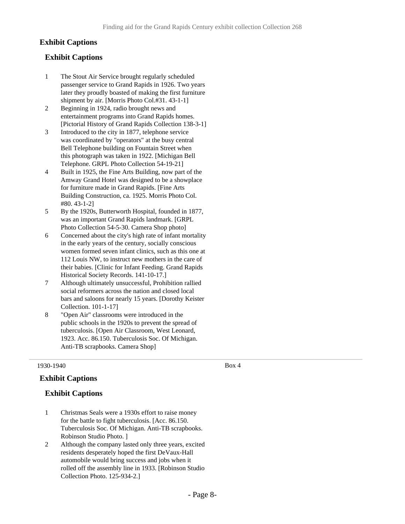## **Exhibit Captions**

## **Exhibit Captions**

- 1 The Stout Air Service brought regularly scheduled passenger service to Grand Rapids in 1926. Two years later they proudly boasted of making the first furniture shipment by air. [Morris Photo Col.#31. 43-1-1]
- 2 Beginning in 1924, radio brought news and entertainment programs into Grand Rapids homes. [Pictorial History of Grand Rapids Collection 138-3-1]
- 3 Introduced to the city in 1877, telephone service was coordinated by "operators" at the busy central Bell Telephone building on Fountain Street when this photograph was taken in 1922. [Michigan Bell Telephone. GRPL Photo Collection 54-19-21]
- 4 Built in 1925, the Fine Arts Building, now part of the Amway Grand Hotel was designed to be a showplace for furniture made in Grand Rapids. [Fine Arts Building Construction, ca. 1925. Morris Photo Col. #80. 43-1-2]
- 5 By the 1920s, Butterworth Hospital, founded in 1877, was an important Grand Rapids landmark. [GRPL Photo Collection 54-5-30. Camera Shop photo]
- 6 Concerned about the city's high rate of infant mortality in the early years of the century, socially conscious women formed seven infant clinics, such as this one at 112 Louis NW, to instruct new mothers in the care of their babies. [Clinic for Infant Feeding. Grand Rapids Historical Society Records. 141-10-17.]
- 7 Although ultimately unsuccessful, Prohibition rallied social reformers across the nation and closed local bars and saloons for nearly 15 years. [Dorothy Keister Collection. 101-1-17]
- 8 "Open Air" classrooms were introduced in the public schools in the 1920s to prevent the spread of tuberculosis. [Open Air Classroom, West Leonard, 1923. Acc. 86.150. Tuberculosis Soc. Of Michigan. Anti-TB scrapbooks. Camera Shop]

#### 1930-1940

### **Exhibit Captions**

## **Exhibit Captions**

- 1 Christmas Seals were a 1930s effort to raise money for the battle to fight tuberculosis. [Acc. 86.150. Tuberculosis Soc. Of Michigan. Anti-TB scrapbooks. Robinson Studio Photo. ]
- 2 Although the company lasted only three years, excited residents desperately hoped the first DeVaux-Hall automobile would bring success and jobs when it rolled off the assembly line in 1933. [Robinson Studio Collection Photo. 125-934-2.]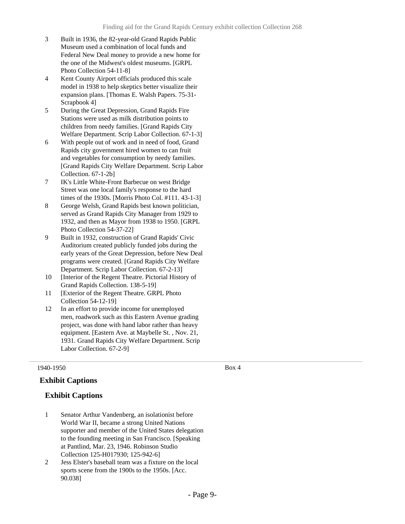- 3 Built in 1936, the 82-year-old Grand Rapids Public Museum used a combination of local funds and Federal New Deal money to provide a new home for the one of the Midwest's oldest museums. [GRPL Photo Collection 54-11-8]
- 4 Kent County Airport officials produced this scale model in 1938 to help skeptics better visualize their expansion plans. [Thomas E. Walsh Papers. 75-31- Scrapbook 4]
- 5 During the Great Depression, Grand Rapids Fire Stations were used as milk distribution points to children from needy families. [Grand Rapids City Welfare Department. Scrip Labor Collection. 67-1-3]
- 6 With people out of work and in need of food, Grand Rapids city government hired women to can fruit and vegetables for consumption by needy families. [Grand Rapids City Welfare Department. Scrip Labor Collection. 67-1-2b]
- 7 IK's Little White-Front Barbecue on west Bridge Street was one local family's response to the hard times of the 1930s. [Morris Photo Col. #111. 43-1-3]
- 8 George Welsh, Grand Rapids best known politician, served as Grand Rapids City Manager from 1929 to 1932, and then as Mayor from 1938 to 1950. [GRPL Photo Collection 54-37-22]
- 9 Built in 1932, construction of Grand Rapids' Civic Auditorium created publicly funded jobs during the early years of the Great Depression, before New Deal programs were created. [Grand Rapids City Welfare Department. Scrip Labor Collection. 67-2-13]
- 10 [Interior of the Regent Theatre. Pictorial History of Grand Rapids Collection. 138-5-19]
- 11 [Exterior of the Regent Theatre. GRPL Photo Collection 54-12-19]
- 12 In an effort to provide income for unemployed men, roadwork such as this Eastern Avenue grading project, was done with hand labor rather than heavy equipment. [Eastern Ave. at Maybelle St. , Nov. 21, 1931. Grand Rapids City Welfare Department. Scrip Labor Collection. 67-2-9]

### **Exhibit Captions**

### **Exhibit Captions**

- 1 Senator Arthur Vandenberg, an isolationist before World War II, became a strong United Nations supporter and member of the United States delegation to the founding meeting in San Francisco. [Speaking at Pantlind, Mar. 23, 1946. Robinson Studio Collection 125-H017930; 125-942-6]
- 2 Jess Elster's baseball team was a fixture on the local sports scene from the 1900s to the 1950s. [Acc. 90.038]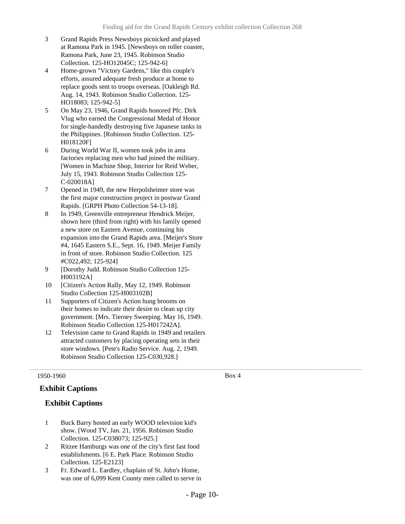- 3 Grand Rapids Press Newsboys picnicked and played at Ramona Park in 1945. [Newsboys on roller coaster, Ramona Park, June 23, 1945. Robinson Studio Collection. 125-HO12045C; 125-942-6]
- 4 Home-grown "Victory Gardens," like this couple's efforts, assured adequate fresh produce at home to replace goods sent to troops overseas. [Oakleigh Rd. Aug. 14, 1943. Robinson Studio Collection. 125- HO18083; 125-942-5]
- 5 On May 23, 1946, Grand Rapids honored Pfc. Dirk Vlug who earned the Congressional Medal of Honor for single-handedly destroying five Japanese tanks in the Philippines. [Robinson Studio Collection. 125- H018120F]
- 6 During World War II, women took jobs in area factories replacing men who had joined the military. [Women in Machine Shop, Interior for Reid Weber, July 15, 1943. Robinson Studio Collection 125- C-020018A]
- 7 Opened in 1949, the new Herpolsheimer store was the first major construction project in postwar Grand Rapids. [GRPH Photo Collection 54-13-18].
- 8 In 1949, Greenville entrepreneur Hendrick Meijer, shown here (third from right) with his family opened a new store on Eastern Avenue, continuing his expansion into the Grand Rapids area. [Meijer's Store #4, 1645 Eastern S.E., Sept. 16, 1949. Meijer Family in front of store. Robinson Studio Collection. 125 #C022,492; 125-924]
- 9 [Dorothy Judd. Robinson Studio Collection 125- H003192A]
- 10 [Citizen's Action Rally, May 12, 1949. Robinson Studio Collection 125-H003102B]
- 11 Supporters of Citizen's Action hung brooms on their homes to indicate their desire to clean up city government. [Mrs. Tierney Sweeping. May 16, 1949. Robinson Studio Collection 125-H017242A].
- 12 Television came to Grand Rapids in 1949 and retailers attracted customers by placing operating sets in their store windows. [Pete's Radio Service. Aug. 2, 1949. Robinson Studio Collection 125-C030,928.]

### **Exhibit Captions**

### **Exhibit Captions**

- 1 Buck Barry hosted an early WOOD television kid's show. [Wood TV, Jan. 21, 1956. Robinson Studio Collection. 125-C038073; 125-925.]
- 2 Ritzee Hamburgs was one of the city's first fast food establishments. [6 E. Park Place. Robinson Studio Collection. 125-E2123]
- 3 Fr. Edward L. Eardley, chaplain of St. John's Home, was one of 6,099 Kent County men called to serve in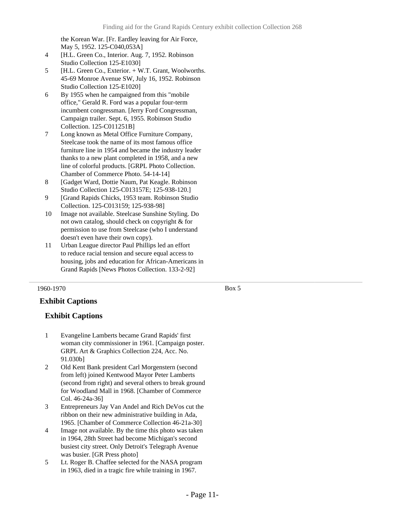the Korean War. [Fr. Eardley leaving for Air Force, May 5, 1952. 125-C040,053A]

- 4 [H.L. Green Co., Interior. Aug. 7, 1952. Robinson Studio Collection 125-E1030]
- 5 [H.L. Green Co., Exterior. + W.T. Grant, Woolworths. 45-69 Monroe Avenue SW, July 16, 1952. Robinson Studio Collection 125-E1020]
- 6 By 1955 when he campaigned from this "mobile office," Gerald R. Ford was a popular four-term incumbent congressman. [Jerry Ford Congressman, Campaign trailer. Sept. 6, 1955. Robinson Studio Collection. 125-C011251B]
- 7 Long known as Metal Office Furniture Company, Steelcase took the name of its most famous office furniture line in 1954 and became the industry leader thanks to a new plant completed in 1958, and a new line of colorful products. [GRPL Photo Collection. Chamber of Commerce Photo. 54-14-14]
- 8 [Gadget Ward, Dottie Naum, Pat Keagle. Robinson Studio Collection 125-C013157E; 125-938-120.]
- 9 [Grand Rapids Chicks, 1953 team. Robinson Studio Collection. 125-C013159; 125-938-98]
- 10 Image not available. Steelcase Sunshine Styling. Do not own catalog, should check on copyright & for permission to use from Steelcase (who I understand doesn't even have their own copy).
- 11 Urban League director Paul Phillips led an effort to reduce racial tension and secure equal access to housing, jobs and education for African-Americans in Grand Rapids [News Photos Collection. 133-2-92]

#### 1960-1970

Box 5

## **Exhibit Captions**

- 1 Evangeline Lamberts became Grand Rapids' first woman city commissioner in 1961. [Campaign poster. GRPL Art & Graphics Collection 224, Acc. No. 91.030b]
- 2 Old Kent Bank president Carl Morgenstern (second from left) joined Kentwood Mayor Peter Lamberts (second from right) and several others to break ground for Woodland Mall in 1968. [Chamber of Commerce Col. 46-24a-36]
- 3 Entrepreneurs Jay Van Andel and Rich DeVos cut the ribbon on their new administrative building in Ada, 1965. [Chamber of Commerce Collection 46-21a-30]
- 4 Image not available. By the time this photo was taken in 1964, 28th Street had become Michigan's second busiest city street. Only Detroit's Telegraph Avenue was busier. [GR Press photo]
- 5 Lt. Roger B. Chaffee selected for the NASA program in 1963, died in a tragic fire while training in 1967.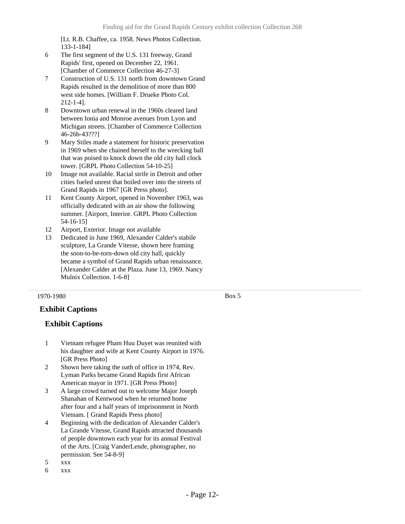[Lt. R.B. Chaffee, ca. 1958. News Photos Collection. 133-1-184]

- 6 The first segment of the U.S. 131 freeway, Grand Rapids' first, opened on December 22, 1961. [Chamber of Commerce Collection 46-27-3]
- 7 Construction of U.S. 131 north from downtown Grand Rapids resulted in the demolition of more than 800 west side homes. [William F. Drueke Photo Col. 212-1-4].
- 8 Downtown urban renewal in the 1960s cleared land between Ionia and Monroe avenues from Lyon and Michigan streets. [Chamber of Commerce Collection 46-26b-43???]
- 9 Mary Stiles made a statement for historic preservation in 1969 when she chained herself to the wrecking ball that was poised to knock down the old city hall clock tower. [GRPL Photo Collection 54-10-25]
- 10 Image not available. Racial strife in Detroit and other cities fueled unrest that boiled over into the streets of Grand Rapids in 1967 [GR Press photo].
- 11 Kent County Airport, opened in November 1963, was officially dedicated with an air show the following summer. [Airport, Interior. GRPL Photo Collection 54-16-15]
- 12 Airport, Exterior. Image not available
- 13 Dedicated in June 1969, Alexander Calder's stabile sculpture, La Grande Vitesse, shown here framing the soon-to-be-torn-down old city hall, quickly became a symbol of Grand Rapids urban renaissance. [Alexander Calder at the Plaza. June 13, 1969. Nancy Mulnix Collection. 1-6-8]

#### 1970-1980

#### Box 5

## **Exhibit Captions**

- 1 Vietnam refugee Pham Huu Duyet was reunited with his daughter and wife at Kent County Airport in 1976. [GR Press Photo]
- 2 Shown here taking the oath of office in 1974, Rev. Lyman Parks became Grand Rapids first African American mayor in 1971. [GR Press Photo]
- 3 A large crowd turned out to welcome Major Joseph Shanahan of Kentwood when he returned home after four and a half years of imprisonment in North Vietnam. [ Grand Rapids Press photo]
- 4 Beginning with the dedication of Alexander Calder's La Grande Vitesse, Grand Rapids attracted thousands of people downtown each year for its annual Festival of the Arts. [Craig VanderLende, photographer, no permission. See 54-8-9]
- 5 xxx
- 6 xxx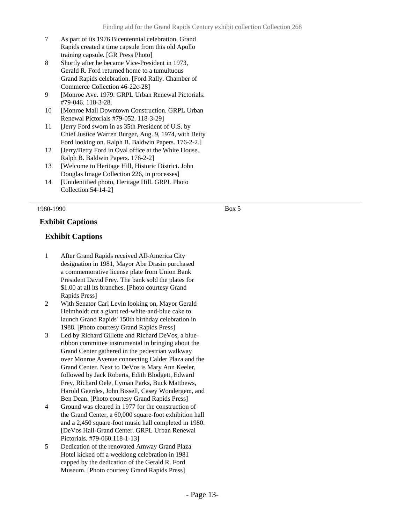- 7 As part of its 1976 Bicentennial celebration, Grand Rapids created a time capsule from this old Apollo training capsule. [GR Press Photo]
- 8 Shortly after he became Vice-President in 1973, Gerald R. Ford returned home to a tumultuous Grand Rapids celebration. [Ford Rally. Chamber of Commerce Collection 46-22c-28]
- 9 [Monroe Ave. 1979. GRPL Urban Renewal Pictorials. #79-046. 118-3-28.
- 10 [Monroe Mall Downtown Construction. GRPL Urban Renewal Pictorials #79-052. 118-3-29]
- 11 [Jerry Ford sworn in as 35th President of U.S. by Chief Justice Warren Burger, Aug. 9, 1974, with Betty Ford looking on. Ralph B. Baldwin Papers. 176-2-2.]
- 12 [Jerry/Betty Ford in Oval office at the White House. Ralph B. Baldwin Papers. 176-2-2]
- 13 [Welcome to Heritage Hill, Historic District. John Douglas Image Collection 226, in processes]
- 14 [Unidentified photo, Heritage Hill. GRPL Photo Collection 54-14-2]

## **Exhibit Captions**

### **Exhibit Captions**

- 1 After Grand Rapids received All-America City designation in 1981, Mayor Abe Drasin purchased a commemorative license plate from Union Bank President David Frey. The bank sold the plates for \$1.00 at all its branches. [Photo courtesy Grand Rapids Press]
- 2 With Senator Carl Levin looking on, Mayor Gerald Helmholdt cut a giant red-white-and-blue cake to launch Grand Rapids' 150th birthday celebration in 1988. [Photo courtesy Grand Rapids Press]
- 3 Led by Richard Gillette and Richard DeVos, a blueribbon committee instrumental in bringing about the Grand Center gathered in the pedestrian walkway over Monroe Avenue connecting Calder Plaza and the Grand Center. Next to DeVos is Mary Ann Keeler, followed by Jack Roberts, Edith Blodgett, Edward Frey, Richard Oele, Lyman Parks, Buck Matthews, Harold Geerdes, John Bissell, Casey Wondergem, and Ben Dean. [Photo courtesy Grand Rapids Press]
- 4 Ground was cleared in 1977 for the construction of the Grand Center, a 60,000 square-foot exhibition hall and a 2,450 square-foot music hall completed in 1980. [DeVos Hall-Grand Center. GRPL Urban Renewal Pictorials. #79-060.118-1-13]
- 5 Dedication of the renovated Amway Grand Plaza Hotel kicked off a weeklong celebration in 1981 capped by the dedication of the Gerald R. Ford Museum. [Photo courtesy Grand Rapids Press]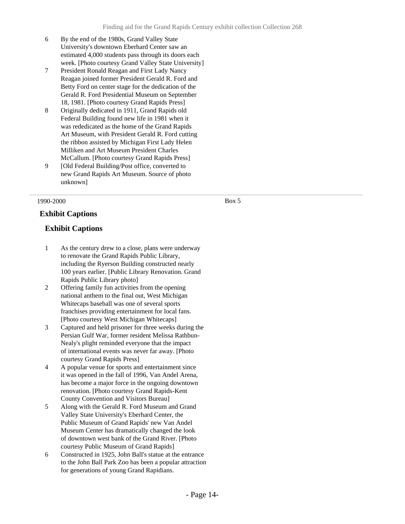- 6 By the end of the 1980s, Grand Valley State University's downtown Eberhard Center saw an estimated 4,000 students pass through its doors each week. [Photo courtesy Grand Valley State University]
- 7 President Ronald Reagan and First Lady Nancy Reagan joined former President Gerald R. Ford and Betty Ford on center stage for the dedication of the Gerald R. Ford Presidential Museum on September 18, 1981. [Photo courtesy Grand Rapids Press]
- 8 Originally dedicated in 1911, Grand Rapids old Federal Building found new life in 1981 when it was rededicated as the home of the Grand Rapids Art Museum, with President Gerald R. Ford cutting the ribbon assisted by Michigan First Lady Helen Milliken and Art Museum President Charles McCallum. [Photo courtesy Grand Rapids Press]
- 9 [Old Federal Building/Post office, converted to new Grand Rapids Art Museum. Source of photo unknown]

**Exhibit Captions**

### **Exhibit Captions**

- 1 As the century drew to a close, plans were underway to renovate the Grand Rapids Public Library, including the Ryerson Building constructed nearly 100 years earlier. [Public Library Renovation. Grand Rapids Public Library photo]
- 2 Offering family fun activities from the opening national anthem to the final out, West Michigan Whitecaps baseball was one of several sports franchises providing entertainment for local fans. [Photo courtesy West Michigan Whitecaps]
- 3 Captured and held prisoner for three weeks during the Persian Gulf War, former resident Melissa Rathbun-Nealy's plight reminded everyone that the impact of international events was never far away. [Photo courtesy Grand Rapids Press]
- 4 A popular venue for sports and entertainment since it was opened in the fall of 1996, Van Andel Arena, has become a major force in the ongoing downtown renovation. [Photo courtesy Grand Rapids-Kent County Convention and Visitors Bureau]
- 5 Along with the Gerald R. Ford Museum and Grand Valley State University's Eberhard Center, the Public Museum of Grand Rapids' new Van Andel Museum Center has dramatically changed the look of downtown west bank of the Grand River. [Photo courtesy Public Museum of Grand Rapids]
- 6 Constructed in 1925, John Ball's statue at the entrance to the John Ball Park Zoo has been a popular attraction for generations of young Grand Rapidians.